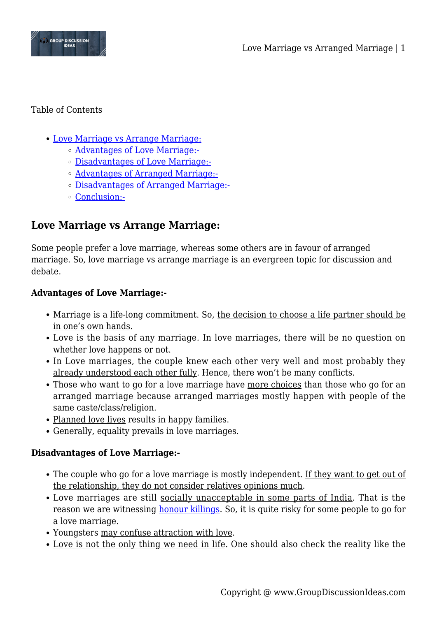

#### Table of Contents

- [Love Marriage vs Arrange Marriage:](#page--1-0)
	- [Advantages of Love Marriage:-](#page--1-0)
	- [Disadvantages of Love Marriage:-](#page--1-0)
	- [Advantages of Arranged Marriage:-](#page--1-0)
	- [Disadvantages of Arranged Marriage:-](#page--1-0)
	- [Conclusion:-](#page--1-0)

# **Love Marriage vs Arrange Marriage:**

Some people prefer a love marriage, whereas some others are in favour of arranged marriage. So, love marriage vs arrange marriage is an evergreen topic for discussion and debate.

# **Advantages of Love Marriage:-**

- Marriage is a life-long commitment. So, the decision to choose a life partner should be in one's own hands.
- Love is the basis of any marriage. In love marriages, there will be no question on whether love happens or not.
- In Love marriages, the couple knew each other very well and most probably they already understood each other fully. Hence, there won't be many conflicts.
- Those who want to go for a love marriage have more choices than those who go for an arranged marriage because arranged marriages mostly happen with people of the same caste/class/religion.
- Planned love lives results in happy families.
- Generally, equality prevails in love marriages.

# **Disadvantages of Love Marriage:-**

- The couple who go for a love marriage is mostly independent. If they want to get out of the relationship, they do not consider relatives opinions much.
- Love marriages are still socially unacceptable in some parts of India. That is the reason we are witnessing [honour killings.](https://www.groupdiscussionideas.com/how-can-we-stop-honor-killings/) So, it is quite risky for some people to go for a love marriage.
- Youngsters may confuse attraction with love.
- Love is not the only thing we need in life. One should also check the reality like the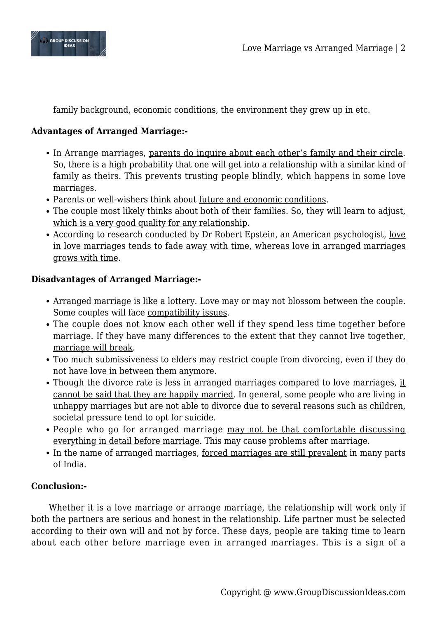

family background, economic conditions, the environment they grew up in etc.

### **Advantages of Arranged Marriage:-**

- In Arrange marriages, parents do inquire about each other's family and their circle. So, there is a high probability that one will get into a relationship with a similar kind of family as theirs. This prevents trusting people blindly, which happens in some love marriages.
- Parents or well-wishers think about future and economic conditions.
- The couple most likely thinks about both of their families. So, they will learn to adjust, which is a very good quality for any relationship.
- According to research conducted by Dr Robert Epstein, an American psychologist, love in love marriages tends to fade away with time, whereas love in arranged marriages grows with time.

# **Disadvantages of Arranged Marriage:-**

- Arranged marriage is like a lottery. Love may or may not blossom between the couple. Some couples will face compatibility issues.
- The couple does not know each other well if they spend less time together before marriage. If they have many differences to the extent that they cannot live together, marriage will break.
- Too much submissiveness to elders may restrict couple from divorcing, even if they do not have love in between them anymore.
- Though the divorce rate is less in arranged marriages compared to love marriages, it cannot be said that they are happily married. In general, some people who are living in unhappy marriages but are not able to divorce due to several reasons such as children, societal pressure tend to opt for suicide.
- People who go for arranged marriage may not be that comfortable discussing everything in detail before marriage. This may cause problems after marriage.
- In the name of arranged marriages, forced marriages are still prevalent in many parts of India.

# **Conclusion:-**

Whether it is a love marriage or arrange marriage, the relationship will work only if both the partners are serious and honest in the relationship. Life partner must be selected according to their own will and not by force. These days, people are taking time to learn about each other before marriage even in arranged marriages. This is a sign of a